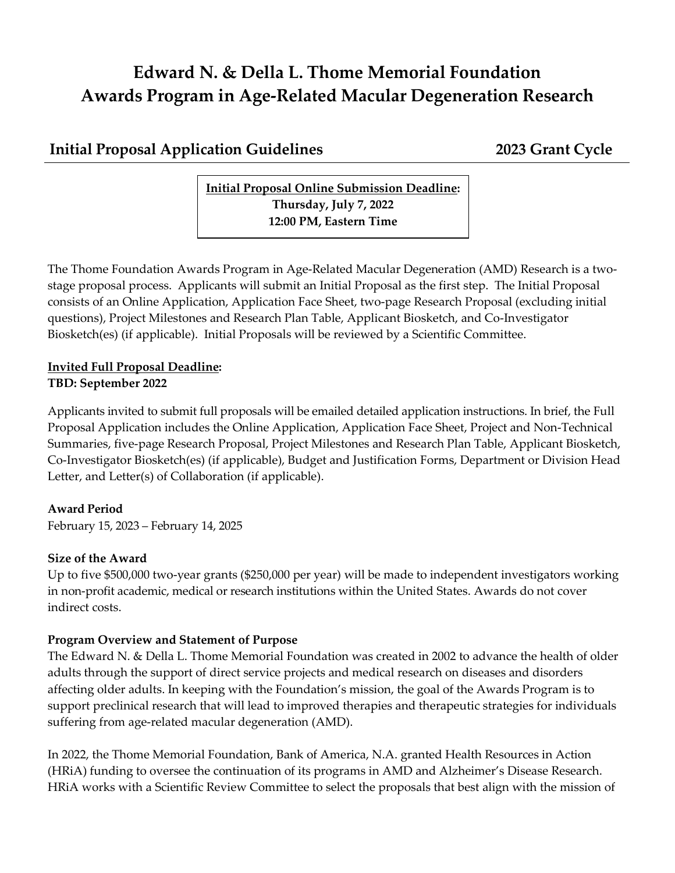# Edward N. & Della L. Thome Memorial Foundation Awards Program in Age-Related Macular Degeneration Research

## Initial Proposal Application Guidelines 2023 Grant Cycle

Initial Proposal Online Submission Deadline: Thursday, July 7, 2022 12:00 PM, Eastern Time

The Thome Foundation Awards Program in Age-Related Macular Degeneration (AMD) Research is a twostage proposal process. Applicants will submit an Initial Proposal as the first step. The Initial Proposal consists of an Online Application, Application Face Sheet, two-page Research Proposal (excluding initial questions), Project Milestones and Research Plan Table, Applicant Biosketch, and Co-Investigator Biosketch(es) (if applicable). Initial Proposals will be reviewed by a Scientific Committee.

#### Invited Full Proposal Deadline: TBD: September 2022

Applicants invited to submit full proposals will be emailed detailed application instructions. In brief, the Full Proposal Application includes the Online Application, Application Face Sheet, Project and Non-Technical Summaries, five-page Research Proposal, Project Milestones and Research Plan Table, Applicant Biosketch, Co-Investigator Biosketch(es) (if applicable), Budget and Justification Forms, Department or Division Head Letter, and Letter(s) of Collaboration (if applicable).

## Award Period

February 15, 2023 – February 14, 2025

## Size of the Award

Up to five \$500,000 two-year grants (\$250,000 per year) will be made to independent investigators working in non-profit academic, medical or research institutions within the United States. Awards do not cover indirect costs.

## Program Overview and Statement of Purpose

The Edward N. & Della L. Thome Memorial Foundation was created in 2002 to advance the health of older adults through the support of direct service projects and medical research on diseases and disorders affecting older adults. In keeping with the Foundation's mission, the goal of the Awards Program is to support preclinical research that will lead to improved therapies and therapeutic strategies for individuals suffering from age-related macular degeneration (AMD).

In 2022, the Thome Memorial Foundation, Bank of America, N.A. granted Health Resources in Action (HRiA) funding to oversee the continuation of its programs in AMD and Alzheimer's Disease Research. HRiA works with a Scientific Review Committee to select the proposals that best align with the mission of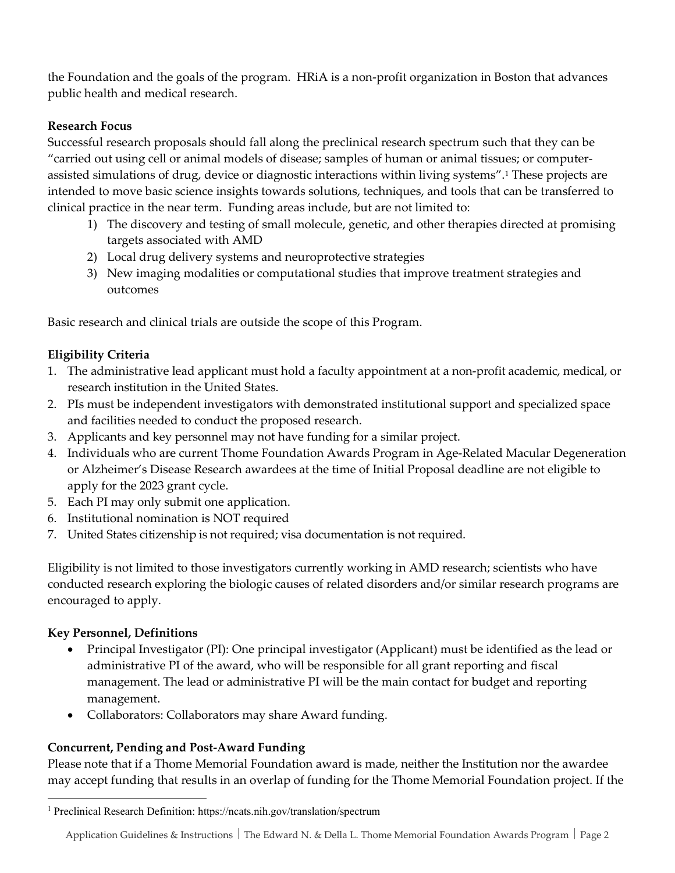the Foundation and the goals of the program. HRiA is a non-profit organization in Boston that advances public health and medical research.

## Research Focus

Successful research proposals should fall along the preclinical research spectrum such that they can be "carried out using cell or animal models of disease; samples of human or animal tissues; or computerassisted simulations of drug, device or diagnostic interactions within living systems".<sup>1</sup> These projects are intended to move basic science insights towards solutions, techniques, and tools that can be transferred to clinical practice in the near term. Funding areas include, but are not limited to:

- 1) The discovery and testing of small molecule, genetic, and other therapies directed at promising targets associated with AMD
- 2) Local drug delivery systems and neuroprotective strategies
- 3) New imaging modalities or computational studies that improve treatment strategies and outcomes

Basic research and clinical trials are outside the scope of this Program.

## Eligibility Criteria

- 1. The administrative lead applicant must hold a faculty appointment at a non-profit academic, medical, or research institution in the United States.
- 2. PIs must be independent investigators with demonstrated institutional support and specialized space and facilities needed to conduct the proposed research.
- 3. Applicants and key personnel may not have funding for a similar project.
- 4. Individuals who are current Thome Foundation Awards Program in Age-Related Macular Degeneration or Alzheimer's Disease Research awardees at the time of Initial Proposal deadline are not eligible to apply for the 2023 grant cycle.
- 5. Each PI may only submit one application.
- 6. Institutional nomination is NOT required
- 7. United States citizenship is not required; visa documentation is not required.

Eligibility is not limited to those investigators currently working in AMD research; scientists who have conducted research exploring the biologic causes of related disorders and/or similar research programs are encouraged to apply.

## Key Personnel, Definitions

- Principal Investigator (PI): One principal investigator (Applicant) must be identified as the lead or administrative PI of the award, who will be responsible for all grant reporting and fiscal management. The lead or administrative PI will be the main contact for budget and reporting management.
- Collaborators: Collaborators may share Award funding.

## Concurrent, Pending and Post-Award Funding

Please note that if a Thome Memorial Foundation award is made, neither the Institution nor the awardee may accept funding that results in an overlap of funding for the Thome Memorial Foundation project. If the

<sup>&</sup>lt;sup>1</sup> Preclinical Research Definition: https://ncats.nih.gov/translation/spectrum

Application Guidelines & Instructions | The Edward N. & Della L. Thome Memorial Foundation Awards Program | Page 2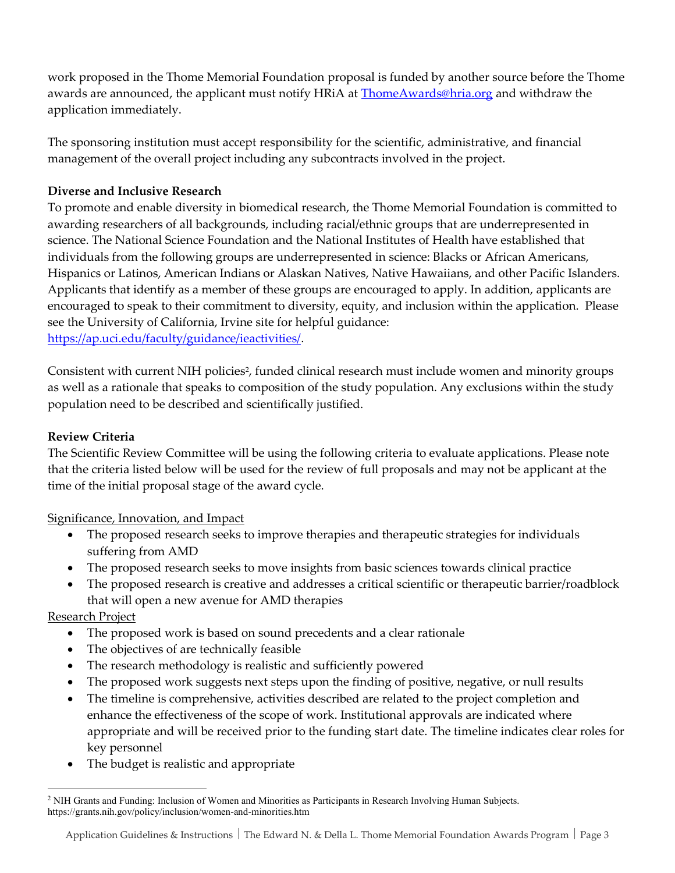work proposed in the Thome Memorial Foundation proposal is funded by another source before the Thome awards are announced, the applicant must notify HRiA at **ThomeAwards@hria.org** and withdraw the application immediately.

The sponsoring institution must accept responsibility for the scientific, administrative, and financial management of the overall project including any subcontracts involved in the project.

## Diverse and Inclusive Research

To promote and enable diversity in biomedical research, the Thome Memorial Foundation is committed to awarding researchers of all backgrounds, including racial/ethnic groups that are underrepresented in science. The National Science Foundation and the National Institutes of Health have established that individuals from the following groups are underrepresented in science: Blacks or African Americans, Hispanics or Latinos, American Indians or Alaskan Natives, Native Hawaiians, and other Pacific Islanders. Applicants that identify as a member of these groups are encouraged to apply. In addition, applicants are encouraged to speak to their commitment to diversity, equity, and inclusion within the application. Please see the University of California, Irvine site for helpful guidance: https://ap.uci.edu/faculty/guidance/ieactivities/.

Consistent with current NIH policies<sup>2</sup>, funded clinical research must include women and minority groups as well as a rationale that speaks to composition of the study population. Any exclusions within the study population need to be described and scientifically justified.

#### Review Criteria

The Scientific Review Committee will be using the following criteria to evaluate applications. Please note that the criteria listed below will be used for the review of full proposals and may not be applicant at the time of the initial proposal stage of the award cycle.

Significance, Innovation, and Impact

- The proposed research seeks to improve therapies and therapeutic strategies for individuals suffering from AMD
- The proposed research seeks to move insights from basic sciences towards clinical practice
- The proposed research is creative and addresses a critical scientific or therapeutic barrier/roadblock that will open a new avenue for AMD therapies

#### Research Project

- The proposed work is based on sound precedents and a clear rationale
- The objectives of are technically feasible
- The research methodology is realistic and sufficiently powered
- The proposed work suggests next steps upon the finding of positive, negative, or null results
- The timeline is comprehensive, activities described are related to the project completion and enhance the effectiveness of the scope of work. Institutional approvals are indicated where appropriate and will be received prior to the funding start date. The timeline indicates clear roles for key personnel
- The budget is realistic and appropriate

<sup>&</sup>lt;sup>2</sup> NIH Grants and Funding: Inclusion of Women and Minorities as Participants in Research Involving Human Subjects. https://grants.nih.gov/policy/inclusion/women-and-minorities.htm

Application Guidelines & Instructions | The Edward N. & Della L. Thome Memorial Foundation Awards Program | Page 3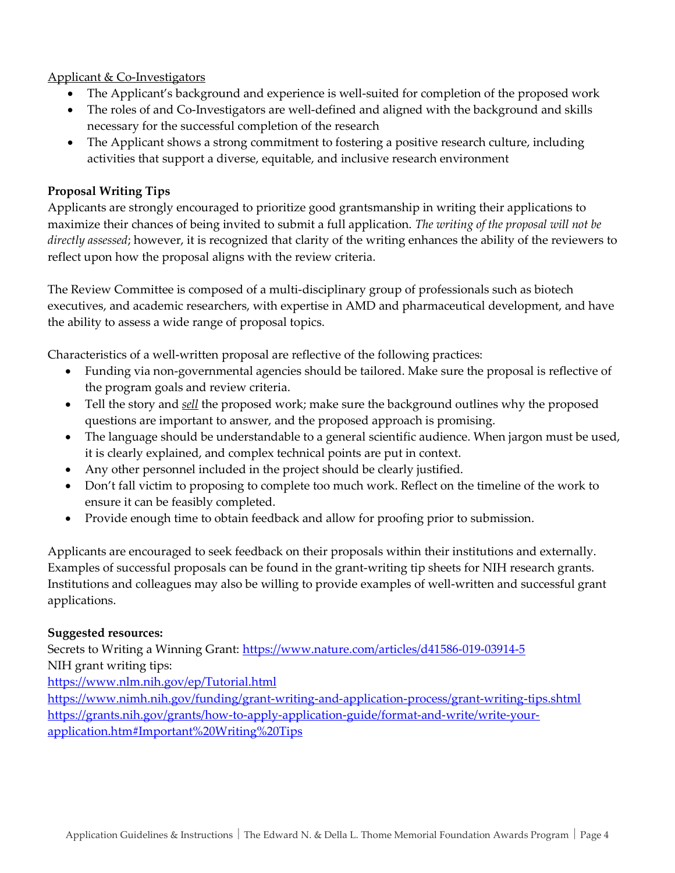#### Applicant & Co-Investigators

- The Applicant's background and experience is well-suited for completion of the proposed work
- The roles of and Co-Investigators are well-defined and aligned with the background and skills necessary for the successful completion of the research
- The Applicant shows a strong commitment to fostering a positive research culture, including activities that support a diverse, equitable, and inclusive research environment

## Proposal Writing Tips

Applicants are strongly encouraged to prioritize good grantsmanship in writing their applications to maximize their chances of being invited to submit a full application. The writing of the proposal will not be directly assessed; however, it is recognized that clarity of the writing enhances the ability of the reviewers to reflect upon how the proposal aligns with the review criteria.

The Review Committee is composed of a multi-disciplinary group of professionals such as biotech executives, and academic researchers, with expertise in AMD and pharmaceutical development, and have the ability to assess a wide range of proposal topics.

Characteristics of a well-written proposal are reflective of the following practices:

- Funding via non-governmental agencies should be tailored. Make sure the proposal is reflective of the program goals and review criteria.
- Tell the story and *sell* the proposed work; make sure the background outlines why the proposed questions are important to answer, and the proposed approach is promising.
- The language should be understandable to a general scientific audience. When jargon must be used, it is clearly explained, and complex technical points are put in context.
- Any other personnel included in the project should be clearly justified.
- Don't fall victim to proposing to complete too much work. Reflect on the timeline of the work to ensure it can be feasibly completed.
- Provide enough time to obtain feedback and allow for proofing prior to submission.

Applicants are encouraged to seek feedback on their proposals within their institutions and externally. Examples of successful proposals can be found in the grant-writing tip sheets for NIH research grants. Institutions and colleagues may also be willing to provide examples of well-written and successful grant applications.

#### Suggested resources:

Secrets to Writing a Winning Grant: https://www.nature.com/articles/d41586-019-03914-5 NIH grant writing tips:

https://www.nlm.nih.gov/ep/Tutorial.html

https://www.nimh.nih.gov/funding/grant-writing-and-application-process/grant-writing-tips.shtml https://grants.nih.gov/grants/how-to-apply-application-guide/format-and-write/write-yourapplication.htm#Important%20Writing%20Tips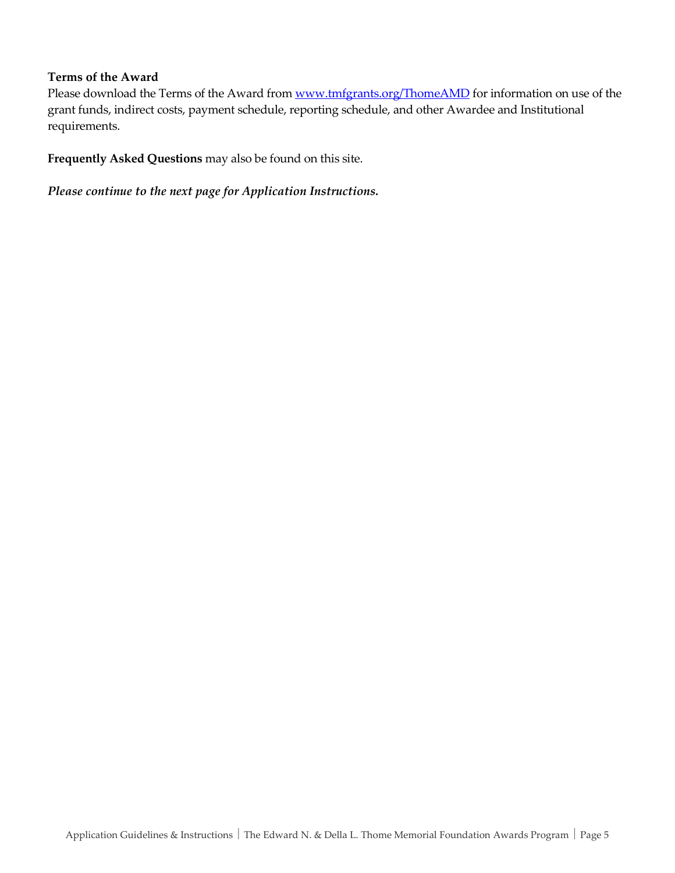#### Terms of the Award

Please download the Terms of the Award from www.tmfgrants.org/ThomeAMD for information on use of the grant funds, indirect costs, payment schedule, reporting schedule, and other Awardee and Institutional requirements.

Frequently Asked Questions may also be found on this site.

Please continue to the next page for Application Instructions.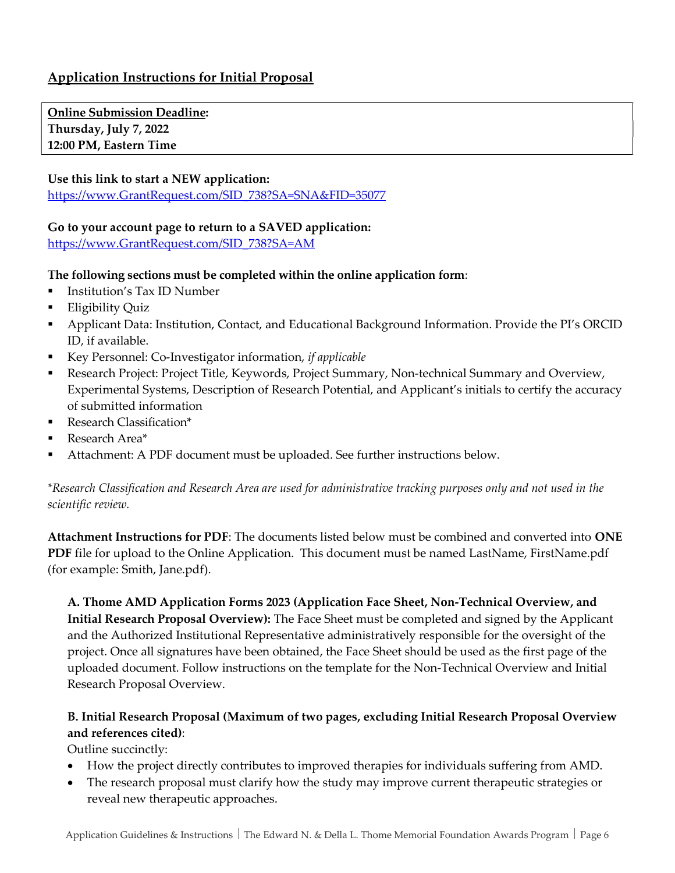## Application Instructions for Initial Proposal

Online Submission Deadline: Thursday, July 7, 2022 12:00 PM, Eastern Time

#### Use this link to start a NEW application:

https://www.GrantRequest.com/SID\_738?SA=SNA&FID=35077

#### Go to your account page to return to a SAVED application:

https://www.GrantRequest.com/SID\_738?SA=AM

#### The following sections must be completed within the online application form:

- **Institution's Tax ID Number**
- **Eligibility Quiz**
- Applicant Data: Institution, Contact, and Educational Background Information. Provide the PI's ORCID ID, if available.
- Key Personnel: Co-Investigator information, if applicable
- Research Project: Project Title, Keywords, Project Summary, Non-technical Summary and Overview, Experimental Systems, Description of Research Potential, and Applicant's initials to certify the accuracy of submitted information
- Research Classification<sup>\*</sup>
- Research Area\*
- Attachment: A PDF document must be uploaded. See further instructions below.

#### \*Research Classification and Research Area are used for administrative tracking purposes only and not used in the scientific review.

Attachment Instructions for PDF: The documents listed below must be combined and converted into ONE PDF file for upload to the Online Application. This document must be named LastName, FirstName.pdf (for example: Smith, Jane.pdf).

A. Thome AMD Application Forms 2023 (Application Face Sheet, Non-Technical Overview, and Initial Research Proposal Overview): The Face Sheet must be completed and signed by the Applicant and the Authorized Institutional Representative administratively responsible for the oversight of the project. Once all signatures have been obtained, the Face Sheet should be used as the first page of the uploaded document. Follow instructions on the template for the Non-Technical Overview and Initial Research Proposal Overview.

## B. Initial Research Proposal (Maximum of two pages, excluding Initial Research Proposal Overview and references cited):

Outline succinctly:

- How the project directly contributes to improved therapies for individuals suffering from AMD.
- The research proposal must clarify how the study may improve current therapeutic strategies or reveal new therapeutic approaches.